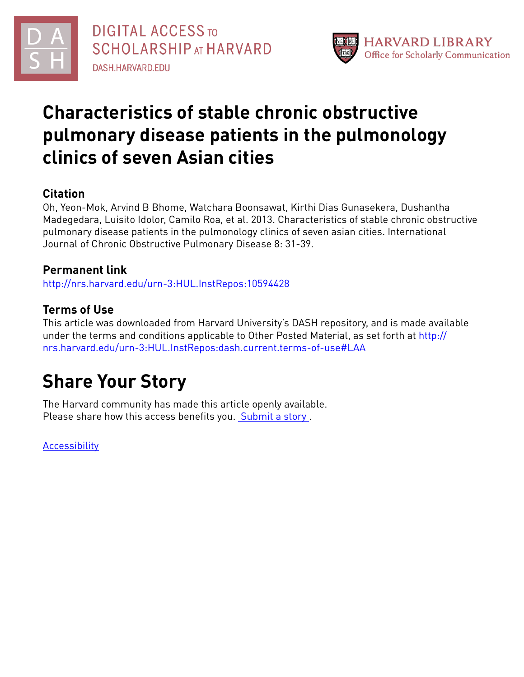



# **Characteristics of stable chronic obstructive pulmonary disease patients in the pulmonology clinics of seven Asian cities**

## **Citation**

Oh, Yeon-Mok, Arvind B Bhome, Watchara Boonsawat, Kirthi Dias Gunasekera, Dushantha Madegedara, Luisito Idolor, Camilo Roa, et al. 2013. Characteristics of stable chronic obstructive pulmonary disease patients in the pulmonology clinics of seven asian cities. International Journal of Chronic Obstructive Pulmonary Disease 8: 31-39.

## **Permanent link**

<http://nrs.harvard.edu/urn-3:HUL.InstRepos:10594428>

## **Terms of Use**

This article was downloaded from Harvard University's DASH repository, and is made available under the terms and conditions applicable to Other Posted Material, as set forth at [http://](http://nrs.harvard.edu/urn-3:HUL.InstRepos:dash.current.terms-of-use#LAA) [nrs.harvard.edu/urn-3:HUL.InstRepos:dash.current.terms-of-use#LAA](http://nrs.harvard.edu/urn-3:HUL.InstRepos:dash.current.terms-of-use#LAA)

# **Share Your Story**

The Harvard community has made this article openly available. Please share how this access benefits you. [Submit](http://osc.hul.harvard.edu/dash/open-access-feedback?handle=&title=Characteristics%20of%20stable%20chronic%20obstructive%20pulmonary%20disease%20patients%20in%20the%20pulmonology%20clinics%20of%20seven%20Asian%20cities&community=1/4454685&collection=1/4454686&owningCollection1/4454686&harvardAuthors=e7b999cfdec47113e4360f87b6aa51d0&department) a story.

**[Accessibility](https://dash.harvard.edu/pages/accessibility)**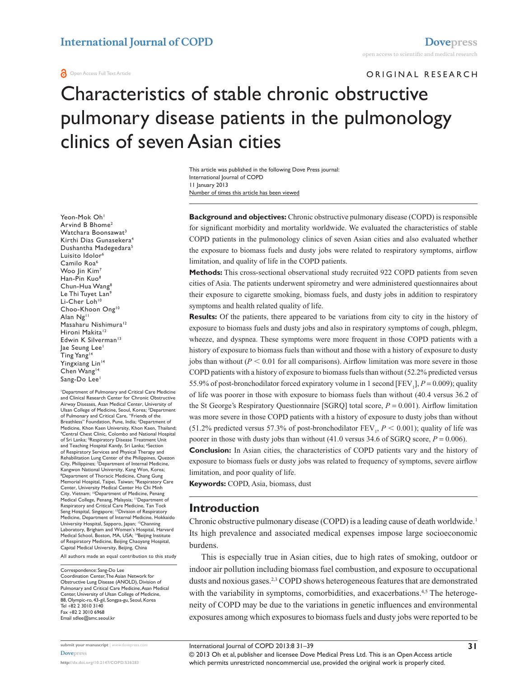#### **a** Open Access Full Text Article

ORIGINAL RESEARCH

# Characteristics of stable chronic obstructive pulmonary disease patients in the pulmonology clinics of seven Asian cities

Number of times this article has been viewed This article was published in the following Dove Press journal: International Journal of COPD 11 January 2013

**Background and objectives:** Chronic obstructive pulmonary disease (COPD) is responsible for significant morbidity and mortality worldwide. We evaluated the characteristics of stable COPD patients in the pulmonology clinics of seven Asian cities and also evaluated whether the exposure to biomass fuels and dusty jobs were related to respiratory symptoms, airflow limitation, and quality of life in the COPD patients.

**Methods:** This cross-sectional observational study recruited 922 COPD patients from seven cities of Asia. The patients underwent spirometry and were administered questionnaires about their exposure to cigarette smoking, biomass fuels, and dusty jobs in addition to respiratory symptoms and health related quality of life.

**Results:** Of the patients, there appeared to be variations from city to city in the history of exposure to biomass fuels and dusty jobs and also in respiratory symptoms of cough, phlegm, wheeze, and dyspnea. These symptoms were more frequent in those COPD patients with a history of exposure to biomass fuels than without and those with a history of exposure to dusty jobs than without  $(P < 0.01$  for all comparisons). Airflow limitation was more severe in those COPD patients with a history of exposure to biomass fuels than without (52.2% predicted versus 55.9% of post-bronchodilator forced expiratory volume in 1 second [FEV<sub>1</sub>],  $P = 0.009$ ); quality of life was poorer in those with exposure to biomass fuels than without (40.4 versus 36.2 of the St George's Respiratory Questionnaire [SGRQ] total score, *P* = 0.001). Airflow limitation was more severe in those COPD patients with a history of exposure to dusty jobs than without (51.2% predicted versus 57.3% of post-bronchodilator  $FEV_1$ ,  $P < 0.001$ ); quality of life was poorer in those with dusty jobs than without  $(41.0 \text{ versus } 34.6 \text{ of } SGRQ \text{ score}, P = 0.006)$ .

**Conclusion:** In Asian cities, the characteristics of COPD patients vary and the history of exposure to biomass fuels or dusty jobs was related to frequency of symptoms, severe airflow limitation, and poor quality of life.

**Keywords:** COPD, Asia, biomass, dust

### **Introduction**

Chronic obstructive pulmonary disease (COPD) is a leading cause of death worldwide.<sup>1</sup> Its high prevalence and associated medical expenses impose large socioeconomic burdens.

This is especially true in Asian cities, due to high rates of smoking, outdoor or indoor air pollution including biomass fuel combustion, and exposure to occupational dusts and noxious gases.<sup>2,3</sup> COPD shows heterogeneous features that are demonstrated with the variability in symptoms, comorbidities, and exacerbations.<sup>4,5</sup> The heterogeneity of COPD may be due to the variations in genetic influences and environmental exposures among which exposures to biomass fuels and dusty jobs were reported to be

Yeon-Mok Oh<sup>1</sup> Arvind B Bhome2 Watchara Boonsawat<sup>3</sup> Kirthi Dias Gunasekera4 Dushantha Madegedara<sup>5</sup> Luisito Idolor6 Camilo Roa<sup>6</sup> Woo Jin Kim<sup>7</sup> Han-Pin Kuo8 Chun-Hua Wang8 Le Thi Tuyet Lan<sup>9</sup> Li-Cher Loh<sup>10</sup> Choo-Khoon Ong<sup>10</sup> Alan Ng11 Masaharu Nishimura<sup>12</sup> Hironi Makita<sup>12</sup> Edwin K Silverman<sup>13</sup> Jae Seung Lee<sup>1</sup> Ting Yang<sup>14</sup> Yingxiang Lin<sup>14</sup> Chen Wang<sup>14</sup> Sang-Do Lee<sup>1</sup>

1 Department of Pulmonary and Critical Care Medicine and Clinical Research Center for Chronic Obstructive Airway Diseases, Asan Medical Center, University of Ulsan College of Medicine, Seoul, Korea; <sup>2</sup>Department of Pulmonary and Critical Care, "Friends of the<br>Breathless" Foundation, Pune, India; <sup>3</sup>Department of Medicine, Khon Kaen University, Khon Kaen, Thailand; 4 Central Chest Clinic, Colombo and National Hospital of Sri Lanka; <sup>5</sup>Respiratory Disease Treatment Unit and Teaching Hospital Kandy, Sri Lanka; 'Section of Respiratory Services and Physical Therapy and Rehabilitation Lung Center of the Philippines, Quezon City, Philippines; 7 Department of Internal Medicine, Kangwon National University, Kang Won, Korea;<br><sup>8</sup>Department of Thoracic Medicine, Chang Gung Memorial Hospital, Taipei, Taiwan; 9 Respiratory Care Center, University Medical Center Ho Chi Minh City, Vietnam; <sup>10</sup>Department of Medicine, Penang Medical College, Penang, Malaysia; <sup>11</sup>Department of Respiratory and Critical Care Medicine, Tan Tock Seng Hospital, Singapore; <sup>12</sup>Division of Respiratory Medicine, Department of Internal Medicine, Hokkaido University Hospital, Sapporo, Japan; 13Channing Laboratory, Brigham and Women's Hospital, Harvard<br>Medical School, Boston, MA, USA; <sup>14</sup>Beijing Institute of Respiratory Medicine, Beijing Chaoyang Hospital, Capital Medical University, Beijing, China

All authors made an equal contribution to this study

Correspondence: Sang-Do Lee Coordination Center, The Asian Network for Obstructive Lung Disease (ANOLD), Division of Pulmonary and Critical Care Medicine, Asan Medical Center, University of Ulsan College of Medicine, 88, Olympic-ro, 43-gil, Songpa-gu, Seoul, Korea Tel +82 2 3010 3140 Fax +82 2 3010 6968 Email [sdlee@amc.seoul.kr](mailto:sdlee@amc.seoul.kr)

© 2013 Oh et al, publisher and licensee Dove Medical Press Ltd. This is an Open Access article which permits unrestricted noncommercial use, provided the original work is properly cited.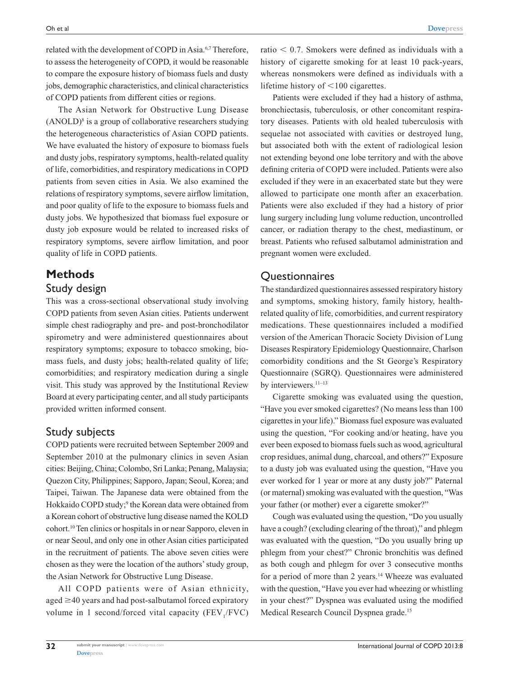related with the development of COPD in Asia.<sup>6,7</sup> Therefore, to assess the heterogeneity of COPD, it would be reasonable to compare the exposure history of biomass fuels and dusty jobs, demographic characteristics, and clinical characteristics of COPD patients from different cities or regions.

The Asian Network for Obstructive Lung Disease  $(ANOLD)<sup>8</sup>$  is a group of collaborative researchers studying the heterogeneous characteristics of Asian COPD patients. We have evaluated the history of exposure to biomass fuels and dusty jobs, respiratory symptoms, health-related quality of life, comorbidities, and respiratory medications in COPD patients from seven cities in Asia. We also examined the relations of respiratory symptoms, severe airflow limitation, and poor quality of life to the exposure to biomass fuels and dusty jobs. We hypothesized that biomass fuel exposure or dusty job exposure would be related to increased risks of respiratory symptoms, severe airflow limitation, and poor quality of life in COPD patients.

# **Methods**

## Study design

This was a cross-sectional observational study involving COPD patients from seven Asian cities. Patients underwent simple chest radiography and pre- and post-bronchodilator spirometry and were administered questionnaires about respiratory symptoms; exposure to tobacco smoking, biomass fuels, and dusty jobs; health-related quality of life; comorbidities; and respiratory medication during a single visit. This study was approved by the Institutional Review Board at every participating center, and all study participants provided written informed consent.

## Study subjects

COPD patients were recruited between September 2009 and September 2010 at the pulmonary clinics in seven Asian cities: Beijing, China; Colombo, Sri Lanka; Penang, Malaysia; Quezon City, Philippines; Sapporo, Japan; Seoul, Korea; and Taipei, Taiwan. The Japanese data were obtained from the Hokkaido COPD study;<sup>9</sup> the Korean data were obtained from a Korean cohort of obstructive lung disease named the KOLD cohort.10 Ten clinics or hospitals in or near Sapporo, eleven in or near Seoul, and only one in other Asian cities participated in the recruitment of patients. The above seven cities were chosen as they were the location of the authors' study group, the Asian Network for Obstructive Lung Disease.

All COPD patients were of Asian ethnicity, aged  $\geq$ 40 years and had post-salbutamol forced expiratory volume in 1 second/forced vital capacity  $(FEV_1/FVC)$  ratio  $< 0.7$ . Smokers were defined as individuals with a history of cigarette smoking for at least 10 pack-years, whereas nonsmokers were defined as individuals with a lifetime history of  $\leq 100$  cigarettes.

Patients were excluded if they had a history of asthma, bronchiectasis, tuberculosis, or other concomitant respiratory diseases. Patients with old healed tuberculosis with sequelae not associated with cavities or destroyed lung, but associated both with the extent of radiological lesion not extending beyond one lobe territory and with the above defining criteria of COPD were included. Patients were also excluded if they were in an exacerbated state but they were allowed to participate one month after an exacerbation. Patients were also excluded if they had a history of prior lung surgery including lung volume reduction, uncontrolled cancer, or radiation therapy to the chest, mediastinum, or breast. Patients who refused salbutamol administration and pregnant women were excluded.

## **Questionnaires**

The standardized questionnaires assessed respiratory history and symptoms, smoking history, family history, healthrelated quality of life, comorbidities, and current respiratory medications. These questionnaires included a modified version of the American Thoracic Society Division of Lung Diseases Respiratory Epidemiology Questionnaire, Charlson comorbidity conditions and the St George's Respiratory Questionnaire (SGRQ). Questionnaires were administered by interviewers.<sup>11-13</sup>

Cigarette smoking was evaluated using the question, "Have you ever smoked cigarettes? (No means less than 100 cigarettes in your life)." Biomass fuel exposure was evaluated using the question, "For cooking and/or heating, have you ever been exposed to biomass fuels such as wood, agricultural crop residues, animal dung, charcoal, and others?" Exposure to a dusty job was evaluated using the question, "Have you ever worked for 1 year or more at any dusty job?" Paternal (or maternal) smoking was evaluated with the question, "Was your father (or mother) ever a cigarette smoker?"

Cough was evaluated using the question, "Do you usually have a cough? (excluding clearing of the throat)," and phlegm was evaluated with the question, "Do you usually bring up phlegm from your chest?" Chronic bronchitis was defined as both cough and phlegm for over 3 consecutive months for a period of more than 2 years.14 Wheeze was evaluated with the question, "Have you ever had wheezing or whistling in your chest?" Dyspnea was evaluated using the modified Medical Research Council Dyspnea grade.15

**32**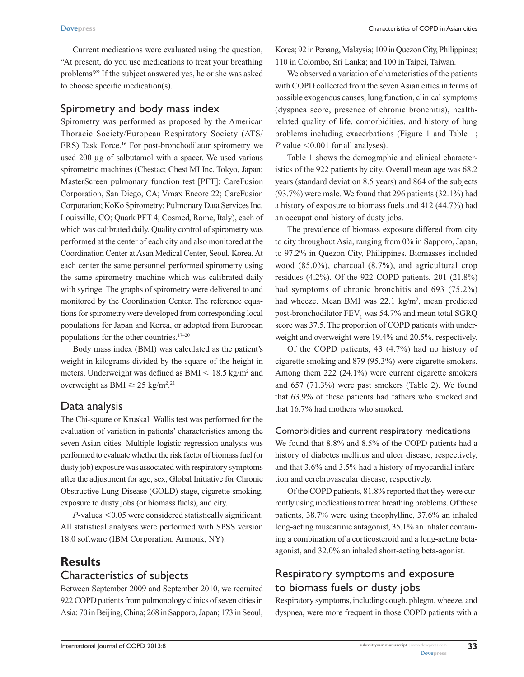Current medications were evaluated using the question, "At present, do you use medications to treat your breathing problems?" If the subject answered yes, he or she was asked to choose specific medication(s).

### Spirometry and body mass index

Spirometry was performed as proposed by the American Thoracic Society/European Respiratory Society (ATS/ ERS) Task Force.16 For post-bronchodilator spirometry we used 200 µg of salbutamol with a spacer. We used various spirometric machines (Chestac; Chest MI Inc, Tokyo, Japan; MasterScreen pulmonary function test [PFT]; CareFusion Corporation, San Diego, CA; Vmax Encore 22; CareFusion Corporation; KoKo Spirometry; Pulmonary Data Services Inc, Louisville, CO; Quark PFT 4; Cosmed, Rome, Italy), each of which was calibrated daily. Quality control of spirometry was performed at the center of each city and also monitored at the Coordination Center at Asan Medical Center, Seoul, Korea. At each center the same personnel performed spirometry using the same spirometry machine which was calibrated daily with syringe. The graphs of spirometry were delivered to and monitored by the Coordination Center. The reference equations for spirometry were developed from corresponding local populations for Japan and Korea, or adopted from European populations for the other countries.17–20

Body mass index (BMI) was calculated as the patient's weight in kilograms divided by the square of the height in meters. Underweight was defined as  $BMI < 18.5$  kg/m<sup>2</sup> and overweight as BMI  $\geq$  25 kg/m<sup>2</sup>.<sup>21</sup>

## Data analysis

The Chi-square or Kruskal–Wallis test was performed for the evaluation of variation in patients' characteristics among the seven Asian cities. Multiple logistic regression analysis was performed to evaluate whether the risk factor of biomass fuel (or dusty job) exposure was associated with respiratory symptoms after the adjustment for age, sex, Global Initiative for Chronic Obstructive Lung Disease (GOLD) stage, cigarette smoking, exposure to dusty jobs (or biomass fuels), and city.

 $P$ -values  $< 0.05$  were considered statistically significant. All statistical analyses were performed with SPSS version 18.0 software (IBM Corporation, Armonk, NY).

## **Results**

### Characteristics of subjects

Between September 2009 and September 2010, we recruited 922 COPD patients from pulmonology clinics of seven cities in Asia: 70 in Beijing, China; 268 in Sapporo, Japan; 173 in Seoul,

Korea; 92 in Penang, Malaysia; 109 in Quezon City, Philippines; 110 in Colombo, Sri Lanka; and 100 in Taipei, Taiwan.

We observed a variation of characteristics of the patients with COPD collected from the seven Asian cities in terms of possible exogenous causes, lung function, clinical symptoms (dyspnea score, presence of chronic bronchitis), healthrelated quality of life, comorbidities, and history of lung problems including exacerbations (Figure 1 and Table 1; *P* value  $< 0.001$  for all analyses).

Table 1 shows the demographic and clinical characteristics of the 922 patients by city. Overall mean age was 68.2 years (standard deviation 8.5 years) and 864 of the subjects (93.7%) were male. We found that 296 patients (32.1%) had a history of exposure to biomass fuels and 412 (44.7%) had an occupational history of dusty jobs.

The prevalence of biomass exposure differed from city to city throughout Asia, ranging from 0% in Sapporo, Japan, to 97.2% in Quezon City, Philippines. Biomasses included wood (85.0%), charcoal (8.7%), and agricultural crop residues (4.2%). Of the 922 COPD patients, 201 (21.8%) had symptoms of chronic bronchitis and 693 (75.2%) had wheeze. Mean BMI was 22.1 kg/m<sup>2</sup>, mean predicted post-bronchodilator  $\text{FEV}_1$  was 54.7% and mean total SGRQ score was 37.5. The proportion of COPD patients with underweight and overweight were 19.4% and 20.5%, respectively.

Of the COPD patients, 43 (4.7%) had no history of cigarette smoking and 879 (95.3%) were cigarette smokers. Among them 222 (24.1%) were current cigarette smokers and 657 (71.3%) were past smokers (Table 2). We found that 63.9% of these patients had fathers who smoked and that 16.7% had mothers who smoked.

#### Comorbidities and current respiratory medications

We found that 8.8% and 8.5% of the COPD patients had a history of diabetes mellitus and ulcer disease, respectively, and that 3.6% and 3.5% had a history of myocardial infarction and cerebrovascular disease, respectively.

Of the COPD patients, 81.8% reported that they were currently using medications to treat breathing problems. Of these patients, 38.7% were using theophylline, 37.6% an inhaled long-acting muscarinic antagonist, 35.1% an inhaler containing a combination of a corticosteroid and a long-acting betaagonist, and 32.0% an inhaled short-acting beta-agonist.

## Respiratory symptoms and exposure to biomass fuels or dusty jobs

Respiratory symptoms, including cough, phlegm, wheeze, and dyspnea, were more frequent in those COPD patients with a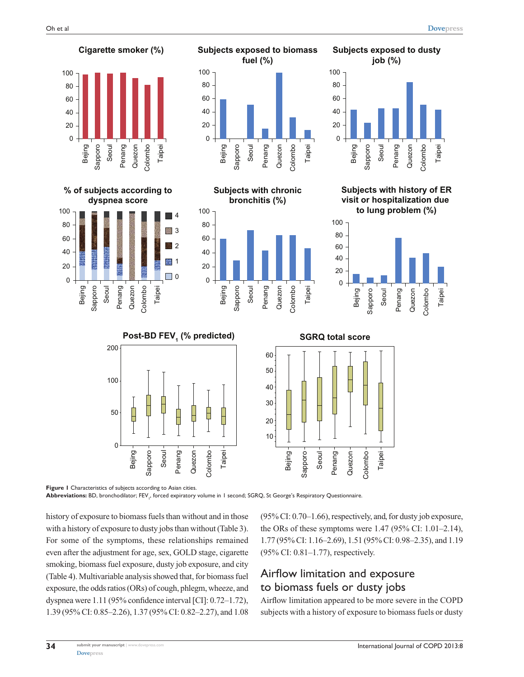

**Figure 1** Characteristics of subjects according to Asian cities. **Abbreviations:** BD, bronchodilator; FEV1 , forced expiratory volume in 1 second; SGRQ, St George's Respiratory Questionnaire.

history of exposure to biomass fuels than without and in those with a history of exposure to dusty jobs than without (Table 3). For some of the symptoms, these relationships remained even after the adjustment for age, sex, GOLD stage, cigarette smoking, biomass fuel exposure, dusty job exposure, and city (Table 4). Multivariable analysis showed that, for biomass fuel exposure, the odds ratios (ORs) of cough, phlegm, wheeze, and dyspnea were 1.11 (95% confidence interval [CI]: 0.72–1.72), 1.39 (95% CI: 0.85–2.26), 1.37 (95% CI: 0.82–2.27), and 1.08

Sapporo Seoul Penang Quezon Colombo Taipei

> (95% CI: 0.70–1.66), respectively, and, for dusty job exposure, the ORs of these symptoms were 1.47 (95% CI: 1.01–2.14), 1.77 (95% CI: 1.16–2.69), 1.51 (95% CI: 0.98–2.35), and 1.19 (95% CI: 0.81–1.77), respectively.

## Airflow limitation and exposure to biomass fuels or dusty jobs

Bejing

Sapporo Seoul Penang Quezon Colombo Taipei

Airflow limitation appeared to be more severe in the COPD subjects with a history of exposure to biomass fuels or dusty

Taipei

Taipei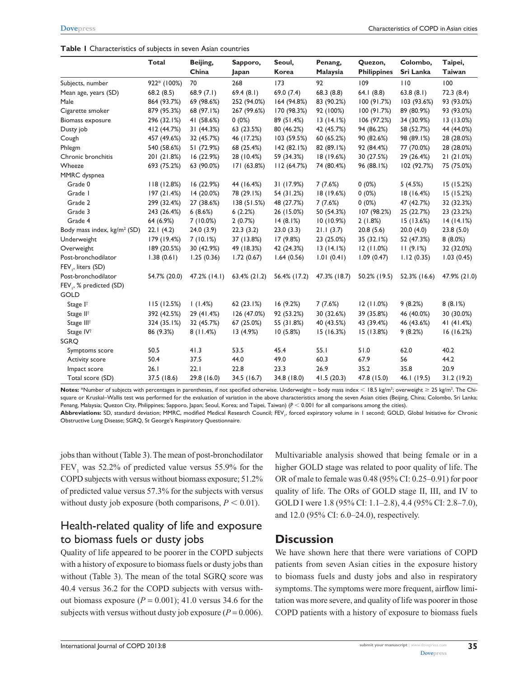|                                         | <b>Total</b> | Beijing,     | Sapporo,        | Seoul,       | Penang,      | Quezon,            | Colombo,     | Taipei,      |
|-----------------------------------------|--------------|--------------|-----------------|--------------|--------------|--------------------|--------------|--------------|
|                                         |              | China        | Japan           | <b>Korea</b> | Malaysia     | <b>Philippines</b> | Sri Lanka    | Taiwan       |
| Subjects, number                        | 922* (100%)  | 70           | 268             | 173          | 92           | 109                | 110          | 100          |
| Mean age, years (SD)                    | 68.2(8.5)    | 68.9 $(7.1)$ | 69.4(8.1)       | 69.0 (7.4)   | 68.3(8.8)    | 64.1(8.8)          | 63.8(8.1)    | 72.3(8.4)    |
| Male                                    | 864 (93.7%)  | 69 (98.6%)   | 252 (94.0%)     | 164 (94.8%)  | 83 (90.2%)   | 100(91.7%)         | 103 (93.6%)  | 93 (93.0%)   |
| Cigarette smoker                        | 879 (95.3%)  | 68 (97.1%)   | 267 (99.6%)     | 170 (98.3%)  | 92 (100%)    | 100(91.7%)         | 89 (80.9%)   | 93 (93.0%)   |
| Biomass exposure                        | 296 (32.1%)  | 41 (58.6%)   | $0(0\%)$        | 89 (51.4%)   | 13(14.1%)    | 106 (97.2%)        | 34 (30.9%)   | 13(13.0%)    |
| Dusty job                               | 412 (44.7%)  | 31 (44.3%)   | 63 (23.5%)      | 80 (46.2%)   | 42 (45.7%)   | 94 (86.2%)         | 58 (52.7%)   | 44 (44.0%)   |
| Cough                                   | 457 (49.6%)  | 32 (45.7%)   | 46 (17.2%)      | 103 (59.5%)  | 60 (65.2%)   | 90 (82.6%)         | 98 (89.1%)   | 28 (28.0%)   |
| Phlegm                                  | 540 (58.6%)  | 51 (72.9%)   | 68 (25.4%)      | 142(82.1%)   | 82 (89.1%)   | 92 (84.4%)         | 77 (70.0%)   | 28 (28.0%)   |
| Chronic bronchitis                      | 201 (21.8%)  | 16(22.9%)    | 28 (10.4%)      | 59 (34.3%)   | 18 (19.6%)   | 30 (27.5%)         | 29 (26.4%)   | 21(21.0%)    |
| Wheeze                                  | 693 (75.2%)  | 63 (90.0%)   | 171(63.8%)      | 112(64.7%)   | 74 (80.4%)   | 96 (88.1%)         | 102 (92.7%)  | 75 (75.0%)   |
| MMRC dyspnea                            |              |              |                 |              |              |                    |              |              |
| Grade 0                                 | 118(12.8%)   | 16(22.9%)    | 44 (16.4%)      | 31 (17.9%)   | 7(7.6%)      | $0(0\%)$           | 5(4.5%)      | 15(15.2%)    |
| Grade I                                 | 197(21.4%)   | 14 (20.0%)   | 78 (29.1%)      | 54 (31.2%)   | 18 (19.6%)   | $0(0\%)$           | 18(16.4%)    | 15 (15.2%)   |
| Grade 2                                 | 299 (32.4%)  | 27 (38.6%)   | 138 (51.5%)     | 48 (27.7%)   | 7(7.6%)      | 0(0%)              | 47 (42.7%)   | 32 (32.3%)   |
| Grade 3                                 | 243 (26.4%)  | 6(8.6%)      | 6(2.2%)         | 26 (15.0%)   | 50 (54.3%)   | 107 (98.2%)        | 25 (22.7%)   | 23 (23.2%)   |
| Grade 4                                 | 64 (6.9%)    | 7 (10.0%)    | 2(0.7%)         | 14(8.1%)     | 10(10.9%)    | 2(1.8%)            | 15 (13.6%)   | 14(14.1%)    |
| Body mass index, kg/m <sup>2</sup> (SD) | 22.1(4.2)    | 24.0(3.9)    | 22.3(3.2)       | 23.0(3.3)    | 21.1(3.7)    | 20.8(5.6)          | 20.0(4.0)    | 23.8(5.0)    |
| Underweight                             | 179 (19.4%)  | 7(10.1%)     | 37 (13.8%)      | 17(9.8%)     | 23 (25.0%)   | 35 (32.1%)         | 52 (47.3%)   | 8(8.0%)      |
| Overweight                              | 189 (20.5%)  | 30 (42.9%)   | 49 (18.3%)      | 42 (24.3%)   | 13(14.1%)    | 12(11.0%)          | 11(9.1%)     | 32 (32.0%)   |
| Post-bronchodilator                     | 1.38(0.61)   | 1.25(0.36)   | 1.72(0.67)      | 1.64(0.56)   | 1.01(0.41)   | 1.09(0.47)         | 1.12(0.35)   | 1.03(0.45)   |
| FEV, liters (SD)                        |              |              |                 |              |              |                    |              |              |
| Post-bronchodilator                     | 54.7% (20.0) | 47.2% (14.1) | $63.4\%$ (21.2) | 56.4% (17.2) | 47.3% (18.7) | 50.2% (19.5)       | 52.3% (16.6) | 47.9% (21.0) |
| FEV, % predicted (SD)                   |              |              |                 |              |              |                    |              |              |
| <b>GOLD</b>                             |              |              |                 |              |              |                    |              |              |
| Stage I <sup>t</sup>                    | 115(12.5%)   | 1(1.4%)      | 62(23.1%)       | 16 (9.2%)    | 7(7.6%)      | 12(11.0%)          | 9(8.2%)      | 8(8.1%)      |
| Stage II <sup>t</sup>                   | 392 (42.5%)  | 29 (41.4%)   | 126 (47.0%)     | 92 (53.2%)   | 30 (32.6%)   | 39 (35.8%)         | 46 (40.0%)   | 30 (30.0%)   |
| Stage III <sup>t</sup>                  | 324 (35.1%)  | 32 (45.7%)   | 67 (25.0%)      | 55 (31.8%)   | 40 (43.5%)   | 43 (39.4%)         | 46 (43.6%)   | 41 (41.4%)   |
| Stage IV <sup>+</sup>                   | 86 (9.3%)    | 8(11.4%)     | 13(4.9%)        | 10(5.8%)     | 15(16.3%)    | 15(13.8%)          | 9(8.2%)      | 16(16.2%)    |
| SGRO                                    |              |              |                 |              |              |                    |              |              |
| Symptoms score                          | 50.5         | 41.3         | 53.5            | 45.4         | 55.1         | 51.0               | 62.0         | 40.2         |
| Activity score                          | 50.4         | 37.5         | 44.0            | 49.0         | 60.3         | 67.9               | 56           | 44.2         |
| Impact score                            | 26.1         | 22.1         | 22.8            | 23.3         | 26.9         | 35.2               | 35.8         | 20.9         |
| Total score (SD)                        | 37.5 (18.6)  | 29.8 (16.0)  | 34.5 (16.7)     | 34.8 (18.0)  | 41.5(20.3)   | 47.8 (15.0)        | 46.1 (19.5)  | 31.2(19.2)   |

 $\blacksquare$  Mortes: \*Number of subjects with percentages in parentheses, if not specified otherwise. Underweight = body mass index < 18.5 kg/m<sup>2</sup>; overweight ≥ 25 kg/m<sup>2</sup>. The Chisquare or Kruskal–Wallis test was performed for the evaluation of variation in the above characteristics among the seven Asian cities (Beijing, China; Colombo, Sri Lanka; Penang, Malaysia; Quezon City, Philippines; Sapporo, Japan; Seoul, Korea; and Taipei, Taiwan) ( $P < 0.001$  for all comparisons among the cities).

**Abbreviations:** SD, standard deviation; MMRC, modified Medical Research Council; FEV<sub>1</sub>, forced expiratory volume in 1 second; GOLD, Global Initiative for Chronic Obstructive Lung Disease; SGRQ, St George's Respiratory Questionnaire.

jobs than without (Table 3). The mean of post-bronchodilator  $FEV<sub>1</sub>$  was 52.2% of predicted value versus 55.9% for the COPD subjects with versus without biomass exposure; 51.2% of predicted value versus 57.3% for the subjects with versus without dusty job exposure (both comparisons,  $P < 0.01$ ).

## Health-related quality of life and exposure to biomass fuels or dusty jobs

Quality of life appeared to be poorer in the COPD subjects with a history of exposure to biomass fuels or dusty jobs than without (Table 3). The mean of the total SGRQ score was 40.4 versus 36.2 for the COPD subjects with versus without biomass exposure  $(P = 0.001)$ ; 41.0 versus 34.6 for the subjects with versus without dusty job exposure  $(P = 0.006)$ .

Multivariable analysis showed that being female or in a higher GOLD stage was related to poor quality of life. The OR of male to female was 0.48 (95% CI: 0.25–0.91) for poor quality of life. The ORs of GOLD stage II, III, and IV to GOLD I were 1.8 (95% CI: 1.1–2.8), 4.4 (95% CI: 2.8–7.0), and 12.0 (95% CI: 6.0–24.0), respectively.

## **Discussion**

We have shown here that there were variations of COPD patients from seven Asian cities in the exposure history to biomass fuels and dusty jobs and also in respiratory symptoms. The symptoms were more frequent, airflow limitation was more severe, and quality of life was poorer in those COPD patients with a history of exposure to biomass fuels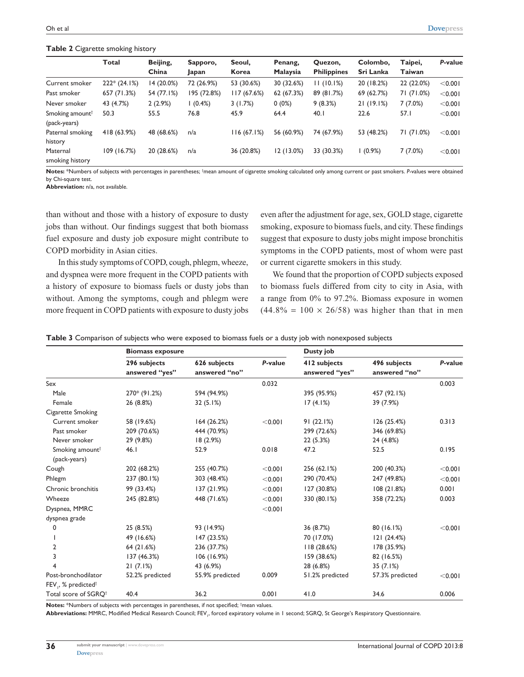#### **Table 2** Cigarette smoking history

|                                             | <b>Total</b>  | Beijing,<br>China | Sapporo,<br>Japan | Seoul,<br>Korea | Penang,<br><b>Malaysia</b> | Quezon,<br><b>Philippines</b> | Colombo,<br>Sri Lanka | Taipei,<br>Taiwan | P-value |
|---------------------------------------------|---------------|-------------------|-------------------|-----------------|----------------------------|-------------------------------|-----------------------|-------------------|---------|
| Current smoker                              | $222*(24.1%)$ | 14 (20.0%)        | 72 (26.9%)        | 53 (30.6%)      | 30 (32.6%)                 | 11(10.1%)                     | 20 (18.2%)            | 22 (22.0%)        | < 0.001 |
| Past smoker                                 | 657 (71.3%)   | 54 (77.1%)        | 195 (72.8%)       | 117(67.6%)      | 62 (67.3%)                 | 89 (81.7%)                    | 69 (62.7%)            | 71 (71.0%)        | < 0.001 |
| Never smoker                                | 43 (4.7%)     | 2(2.9%)           | $(0.4\%)$         | 3(1.7%)         | $0(0\%)$                   | 9(8.3%)                       | 21(19.1%)             | 7(7.0%)           | < 0.001 |
| Smoking amount <sup>†</sup><br>(pack-years) | 50.3          | 55.5              | 76.8              | 45.9            | 64.4                       | 40.1                          | 22.6                  | 57.I              | < 0.001 |
| Paternal smoking<br>history                 | 418 (63.9%)   | 48 (68.6%)        | n/a               | 116(67.1%)      | 56 (60.9%)                 | 74 (67.9%)                    | 53 (48.2%)            | 71 (71.0%)        | < 0.001 |
| Maternal<br>smoking history                 | 109 (16.7%)   | 20 (28.6%)        | n/a               | 36 (20.8%)      | 12(13.0%)                  | 33 (30.3%)                    | $(0.9\%)$             | 7(7.0%)           | < 0.001 |

Notes: \*Numbers of subjects with percentages in parentheses; <sup>†</sup>mean amount of cigarette smoking calculated only among current or past smokers. P-values were obtained by Chi-square test.

**Abbreviation:** n/a, not available.

than without and those with a history of exposure to dusty jobs than without. Our findings suggest that both biomass fuel exposure and dusty job exposure might contribute to COPD morbidity in Asian cities.

In this study symptoms of COPD, cough, phlegm, wheeze, and dyspnea were more frequent in the COPD patients with a history of exposure to biomass fuels or dusty jobs than without. Among the symptoms, cough and phlegm were more frequent in COPD patients with exposure to dusty jobs even after the adjustment for age, sex, GOLD stage, cigarette smoking, exposure to biomass fuels, and city. These findings suggest that exposure to dusty jobs might impose bronchitis symptoms in the COPD patients, most of whom were past or current cigarette smokers in this study.

We found that the proportion of COPD subjects exposed to biomass fuels differed from city to city in Asia, with a range from 0% to 97.2%. Biomass exposure in women  $(44.8\% = 100 \times 26/58)$  was higher than that in men

|                                             | <b>Biomass exposure</b>        |                               |         | Dusty job                      |                               |         |  |
|---------------------------------------------|--------------------------------|-------------------------------|---------|--------------------------------|-------------------------------|---------|--|
|                                             | 296 subjects<br>answered "yes" | 626 subjects<br>answered "no" | P-value | 412 subjects<br>answered "yes" | 496 subjects<br>answered "no" | P-value |  |
| Sex                                         |                                |                               | 0.032   |                                |                               | 0.003   |  |
| Male                                        | 270* (91.2%)                   | 594 (94.9%)                   |         | 395 (95.9%)                    | 457 (92.1%)                   |         |  |
| Female                                      | 26 (8.8%)                      | 32(5.1%)                      |         | 17(4.1%)                       | 39 (7.9%)                     |         |  |
| Cigarette Smoking                           |                                |                               |         |                                |                               |         |  |
| Current smoker                              | 58 (19.6%)                     | 164(26.2%)                    | < 0.001 | 91(22.1%)                      | 126 (25.4%)                   | 0.313   |  |
| Past smoker                                 | 209 (70.6%)                    | 444 (70.9%)                   |         | 299 (72.6%)                    | 346 (69.8%)                   |         |  |
| Never smoker                                | 29 (9.8%)                      | 18(2.9%)                      |         | 22 (5.3%)                      | 24 (4.8%)                     |         |  |
| Smoking amount <sup>†</sup><br>(pack-years) | 46.1                           | 52.9                          | 0.018   | 47.2                           | 52.5                          | 0.195   |  |
| Cough                                       | 202 (68.2%)                    | 255 (40.7%)                   | < 0.001 | 256 (62.1%)                    | 200 (40.3%)                   | < 0.001 |  |
| Phlegm                                      | 237 (80.1%)                    | 303 (48.4%)                   | < 0.001 | 290 (70.4%)                    | 247 (49.8%)                   | < 0.001 |  |
| Chronic bronchitis                          | 99 (33.4%)                     | 137 (21.9%)                   | < 0.001 | 127 (30.8%)                    | 108(21.8%)                    | 0.001   |  |
| Wheeze                                      | 245 (82.8%)                    | 448 (71.6%)                   | < 0.001 | 330 (80.1%)                    | 358 (72.2%)                   | 0.003   |  |
| Dyspnea, MMRC                               |                                |                               | < 0.001 |                                |                               |         |  |
| dyspnea grade                               |                                |                               |         |                                |                               |         |  |
| 0                                           | 25 (8.5%)                      | 93 (14.9%)                    |         | 36 (8.7%)                      | 80(16.1%)                     | < 0.001 |  |
|                                             | 49 (16.6%)                     | 147 (23.5%)                   |         | 70 (17.0%)                     | 121 (24.4%)                   |         |  |
| 2                                           | 64 (21.6%)                     | 236 (37.7%)                   |         | 118(28.6%)                     | 178 (35.9%)                   |         |  |
| 3                                           | 137 (46.3%)                    | 106(16.9%)                    |         | 159 (38.6%)                    | 82 (16.5%)                    |         |  |
|                                             | 21(7.1%)                       | 43 (6.9%)                     |         | 28 (6.8%)                      | 35(7.1%)                      |         |  |
| Post-bronchodilator                         | 52.2% predicted                | 55.9% predicted               | 0.009   | 51.2% predicted                | 57.3% predicted               | < 0.001 |  |
| $FEV, %$ predicted <sup>†</sup>             |                                |                               |         |                                |                               |         |  |
| Total score of SGRO <sup>t</sup>            | 40.4                           | 36.2                          | 0.001   | 41.0                           | 34.6                          | 0.006   |  |

**Table 3** Comparison of subjects who were exposed to biomass fuels or a dusty job with nonexposed subjects

Notes: \*Numbers of subjects with percentages in parentheses, if not specified; <sup>†</sup>mean values.

 ${\sf Abbreviations:}$  MMRC, Modified Medical Research Council; FEV<sub>1</sub>, forced expiratory volume in 1 second; SGRQ, St George's Respiratory Questionnaire.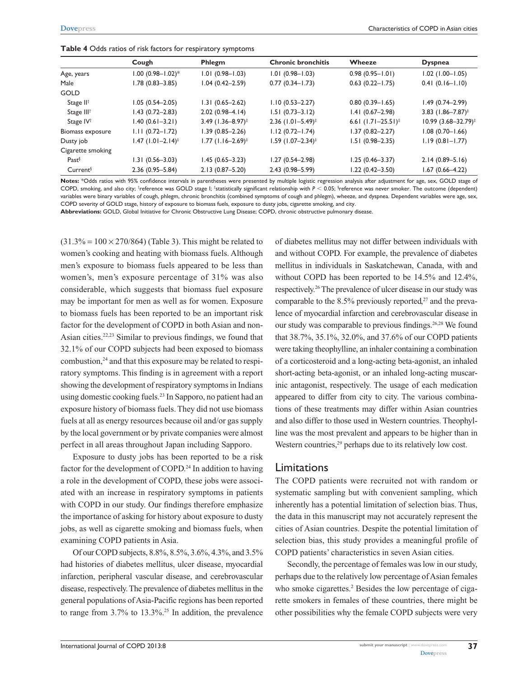| Table 4 Odds ratios of risk factors for respiratory symptoms |  |
|--------------------------------------------------------------|--|
|--------------------------------------------------------------|--|

|                        | Cough                           | Phlegm                          | <b>Chronic bronchitis</b>       | Wheeze                           | <b>Dyspnea</b>                      |
|------------------------|---------------------------------|---------------------------------|---------------------------------|----------------------------------|-------------------------------------|
| Age, years             | $1.00 (0.98 - 1.02)^*$          | $1.01(0.98 - 1.03)$             | $1.01(0.98 - 1.03)$             | $0.98(0.95 - 1.01)$              | $1.02$ (1.00-1.05)                  |
| Male                   | 1.78 (0.83-3.85)                | $1.04(0.42 - 2.59)$             | $0.77(0.34 - 1.73)$             | $0.63$ (0.22-1.75)               | $0.41(0.16 - 1.10)$                 |
| <b>GOLD</b>            |                                 |                                 |                                 |                                  |                                     |
| Stage II <sup>†</sup>  | $1.05(0.54 - 2.05)$             | $1.31(0.65 - 2.62)$             | $1.10(0.53 - 2.27)$             | $0.80(0.39 - 1.65)$              | $1.49(0.74 - 2.99)$                 |
| Stage III <sup>t</sup> | $1.43(0.72 - 2.83)$             | $2.02(0.98-4.14)$               | $1.51(0.73 - 3.12)$             | $1.41(0.67 - 2.98)$              | 3.83 $(1.86 - 7.87)^{\ddagger}$     |
| Stage IV <sup>+</sup>  | $1.40(0.61 - 3.21)$             | $3.49$ (1.36-8.97) <sup>‡</sup> | $2.36$ (1.01-5.49) <sup>‡</sup> | 6.61 $(1.71 - 25.51)^{\ddagger}$ | $10.99$ $(3.68 - 32.79)^{\ddagger}$ |
| Biomass exposure       | $1.11(0.72 - 1.72)$             | $1.39(0.85 - 2.26)$             | $1.12(0.72 - 1.74)$             | $1.37(0.82 - 2.27)$              | $1.08(0.70 - 1.66)$                 |
| Dusty job              | $1.47$ (1.01-2.14) <sup>‡</sup> | $1.77$ (1.16-2.69) <sup>‡</sup> | $1.59$ (1.07-2.34) <sup>‡</sup> | $1.51(0.98 - 2.35)$              | $1.19(0.81 - 1.77)$                 |
| Cigarette smoking      |                                 |                                 |                                 |                                  |                                     |
| Fast <sup>§</sup>      | $1.31(0.56 - 3.03)$             | $1.45(0.65 - 3.23)$             | $1.27(0.54 - 2.98)$             | $1.25(0.46 - 3.37)$              | $2.14(0.89 - 5.16)$                 |
| Current <sup>§</sup>   | $2.36(0.95 - 5.84)$             | $2.13(0.87 - 5.20)$             | $2.43(0.98 - 5.99)$             | 1.22 (0.42-3.50)                 | $1.67(0.66 - 4.22)$                 |
|                        |                                 |                                 |                                 |                                  |                                     |

**Notes:** \*Odds ratios with 95% confidence intervals in parentheses were presented by multiple logistic regression analysis after adjustment for age, sex, GOLD stage of COPD, smoking, and also city; †reference was GOLD stage I; ‡statistically significant relationship with  $P < 0.05$ ; \$reference was never smoker. The outcome (dependent) variables were binary variables of cough, phlegm, chronic bronchitis (combined symptoms of cough and phlegm), wheeze, and dyspnea. Dependent variables were age, sex, COPD severity of GOLD stage, history of exposure to biomass fuels, exposure to dusty jobs, cigarette smoking, and city.

**Abbreviations:** GOLD, Global Initiative for Chronic Obstructive Lung Disease; COPD, chronic obstructive pulmonary disease.

 $(31.3\% = 100 \times 270/864)$  (Table 3). This might be related to women's cooking and heating with biomass fuels. Although men's exposure to biomass fuels appeared to be less than women's, men's exposure percentage of 31% was also considerable, which suggests that biomass fuel exposure may be important for men as well as for women. Exposure to biomass fuels has been reported to be an important risk factor for the development of COPD in both Asian and non-Asian cities.22,23 Similar to previous findings, we found that 32.1% of our COPD subjects had been exposed to biomass combustion,<sup>24</sup> and that this exposure may be related to respiratory symptoms. This finding is in agreement with a report showing the development of respiratory symptoms in Indians using domestic cooking fuels.<sup>23</sup> In Sapporo, no patient had an exposure history of biomass fuels. They did not use biomass fuels at all as energy resources because oil and/or gas supply by the local government or by private companies were almost perfect in all areas throughout Japan including Sapporo.

Exposure to dusty jobs has been reported to be a risk factor for the development of COPD.<sup>24</sup> In addition to having a role in the development of COPD, these jobs were associated with an increase in respiratory symptoms in patients with COPD in our study. Our findings therefore emphasize the importance of asking for history about exposure to dusty jobs, as well as cigarette smoking and biomass fuels, when examining COPD patients in Asia.

Of our COPD subjects, 8.8%, 8.5%, 3.6%, 4.3%, and 3.5% had histories of diabetes mellitus, ulcer disease, myocardial infarction, peripheral vascular disease, and cerebrovascular disease, respectively. The prevalence of diabetes mellitus in the general populations of Asia-Pacific regions has been reported to range from  $3.7\%$  to  $13.3\%$ .<sup>25</sup> In addition, the prevalence of diabetes mellitus may not differ between individuals with and without COPD. For example, the prevalence of diabetes mellitus in individuals in Saskatchewan, Canada, with and without COPD has been reported to be 14.5% and 12.4%, respectively.26 The prevalence of ulcer disease in our study was comparable to the 8.5% previously reported, $27$  and the prevalence of myocardial infarction and cerebrovascular disease in our study was comparable to previous findings.<sup>26,28</sup> We found that 38.7%, 35.1%, 32.0%, and 37.6% of our COPD patients were taking theophylline, an inhaler containing a combination of a corticosteroid and a long-acting beta-agonist, an inhaled short-acting beta-agonist, or an inhaled long-acting muscarinic antagonist, respectively. The usage of each medication appeared to differ from city to city. The various combinations of these treatments may differ within Asian countries and also differ to those used in Western countries. Theophylline was the most prevalent and appears to be higher than in Western countries, $29$  perhaps due to its relatively low cost.

### Limitations

The COPD patients were recruited not with random or systematic sampling but with convenient sampling, which inherently has a potential limitation of selection bias. Thus, the data in this manuscript may not accurately represent the cities of Asian countries. Despite the potential limitation of selection bias, this study provides a meaningful profile of COPD patients' characteristics in seven Asian cities.

Secondly, the percentage of females was low in our study, perhaps due to the relatively low percentage of Asian females who smoke cigarettes.<sup>2</sup> Besides the low percentage of cigarette smokers in females of these countries, there might be other possibilities why the female COPD subjects were very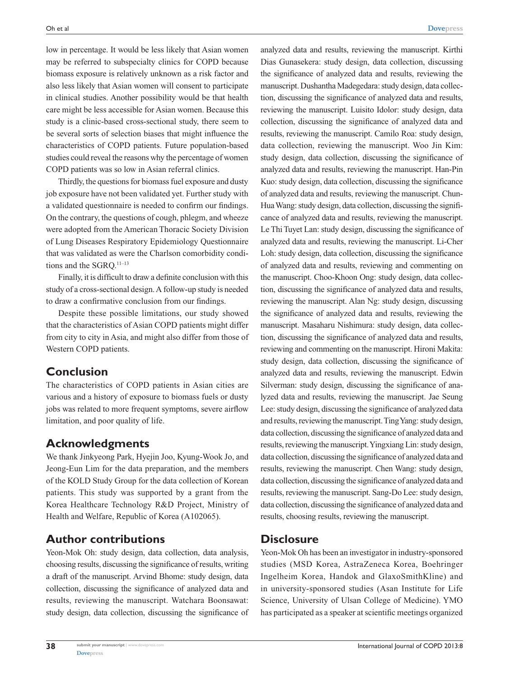low in percentage. It would be less likely that Asian women may be referred to subspecialty clinics for COPD because biomass exposure is relatively unknown as a risk factor and also less likely that Asian women will consent to participate in clinical studies. Another possibility would be that health care might be less accessible for Asian women. Because this study is a clinic-based cross-sectional study, there seem to be several sorts of selection biases that might influence the characteristics of COPD patients. Future population-based studies could reveal the reasons why the percentage of women COPD patients was so low in Asian referral clinics.

Thirdly, the questions for biomass fuel exposure and dusty job exposure have not been validated yet. Further study with a validated questionnaire is needed to confirm our findings. On the contrary, the questions of cough, phlegm, and wheeze were adopted from the American Thoracic Society Division of Lung Diseases Respiratory Epidemiology Questionnaire that was validated as were the Charlson comorbidity conditions and the SGRO.<sup>11-13</sup>

Finally, it is difficult to draw a definite conclusion with this study of a cross-sectional design. A follow-up study is needed to draw a confirmative conclusion from our findings.

Despite these possible limitations, our study showed that the characteristics of Asian COPD patients might differ from city to city in Asia, and might also differ from those of Western COPD patients.

## **Conclusion**

The characteristics of COPD patients in Asian cities are various and a history of exposure to biomass fuels or dusty jobs was related to more frequent symptoms, severe airflow limitation, and poor quality of life.

## **Acknowledgments**

We thank Jinkyeong Park, Hyejin Joo, Kyung-Wook Jo, and Jeong-Eun Lim for the data preparation, and the members of the KOLD Study Group for the data collection of Korean patients. This study was supported by a grant from the Korea Healthcare Technology R&D Project, Ministry of Health and Welfare, Republic of Korea (A102065).

## **Author contributions**

Yeon-Mok Oh: study design, data collection, data analysis, choosing results, discussing the significance of results, writing a draft of the manuscript. Arvind Bhome: study design, data collection, discussing the significance of analyzed data and results, reviewing the manuscript. Watchara Boonsawat: study design, data collection, discussing the significance of analyzed data and results, reviewing the manuscript. Kirthi Dias Gunasekera: study design, data collection, discussing the significance of analyzed data and results, reviewing the manuscript. Dushantha Madegedara: study design, data collection, discussing the significance of analyzed data and results, reviewing the manuscript. Luisito Idolor: study design, data collection, discussing the significance of analyzed data and results, reviewing the manuscript. Camilo Roa: study design, data collection, reviewing the manuscript. Woo Jin Kim: study design, data collection, discussing the significance of analyzed data and results, reviewing the manuscript. Han-Pin Kuo: study design, data collection, discussing the significance of analyzed data and results, reviewing the manuscript. Chun-Hua Wang: study design, data collection, discussing the significance of analyzed data and results, reviewing the manuscript. Le Thi Tuyet Lan: study design, discussing the significance of analyzed data and results, reviewing the manuscript. Li-Cher Loh: study design, data collection, discussing the significance of analyzed data and results, reviewing and commenting on the manuscript. Choo-Khoon Ong: study design, data collection, discussing the significance of analyzed data and results, reviewing the manuscript. Alan Ng: study design, discussing the significance of analyzed data and results, reviewing the manuscript. Masaharu Nishimura: study design, data collection, discussing the significance of analyzed data and results, reviewing and commenting on the manuscript. Hironi Makita: study design, data collection, discussing the significance of analyzed data and results, reviewing the manuscript. Edwin Silverman: study design, discussing the significance of analyzed data and results, reviewing the manuscript. Jae Seung Lee: study design, discussing the significance of analyzed data and results, reviewing the manuscript. Ting Yang: study design, data collection, discussing the significance of analyzed data and results, reviewing the manuscript. Yingxiang Lin: study design, data collection, discussing the significance of analyzed data and results, reviewing the manuscript. Chen Wang: study design, data collection, discussing the significance of analyzed data and results, reviewing the manuscript. Sang-Do Lee: study design, data collection, discussing the significance of analyzed data and results, choosing results, reviewing the manuscript.

## **Disclosure**

Yeon-Mok Oh has been an investigator in industry-sponsored studies (MSD Korea, AstraZeneca Korea, Boehringer Ingelheim Korea, Handok and GlaxoSmithKline) and in university-sponsored studies (Asan Institute for Life Science, University of Ulsan College of Medicine). YMO has participated as a speaker at scientific meetings organized

**38**